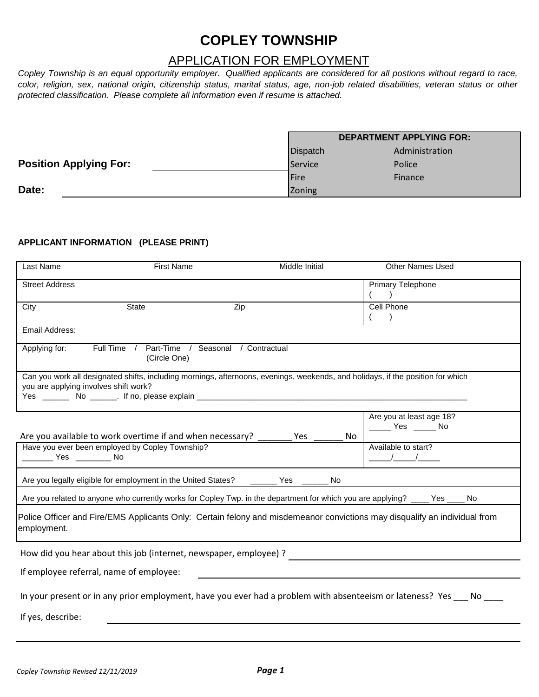# **COPLEY TOWNSHIP**

# APPLICATION FOR EMPLOYMENT

*Copley Township is an equal opportunity employer. Qualified applicants are considered for all postions without regard to race, color, religion, sex, national origin, citizenship status, marital status, age, non-job related disabilities, veteran status or other protected classification. Please complete all information even if resume is attached.*

|                               | <b>DEPARTMENT APPLYING FOR:</b> |                |  |
|-------------------------------|---------------------------------|----------------|--|
|                               | <b>Dispatch</b>                 | Administration |  |
| <b>Position Applying For:</b> | <b>Service</b>                  | Police         |  |
|                               | <b>IFire</b>                    | Finance        |  |
| Date:                         | Zoning                          |                |  |

## **APPLICANT INFORMATION (PLEASE PRINT)**

| Last Name                             | <b>First Name</b>                                                                                                               |     | Middle Initial | Other Names Used                                                                                                             |
|---------------------------------------|---------------------------------------------------------------------------------------------------------------------------------|-----|----------------|------------------------------------------------------------------------------------------------------------------------------|
| <b>Street Address</b>                 |                                                                                                                                 |     |                | <b>Primary Telephone</b>                                                                                                     |
| City                                  | <b>State</b>                                                                                                                    | Zip |                | Cell Phone                                                                                                                   |
| Email Address:                        |                                                                                                                                 |     |                |                                                                                                                              |
| Applying for:                         | Full Time / Part-Time / Seasonal / Contractual<br>(Circle One)                                                                  |     |                |                                                                                                                              |
| you are applying involves shift work? | Can you work all designated shifts, including mornings, afternoons, evenings, weekends, and holidays, if the position for which |     |                |                                                                                                                              |
|                                       | Are you available to work overtime if and when necessary?                                                                       |     | Yes<br>No.     | Are you at least age 18?<br>______ Yes ______ No                                                                             |
|                                       | Have you ever been employed by Copley Township?                                                                                 |     |                | Available to start?<br>$\frac{1}{\sqrt{2}}$                                                                                  |
|                                       | Are you legally eligible for employment in the United States? _______ Yes ______                                                |     | No             |                                                                                                                              |
|                                       |                                                                                                                                 |     |                | Are you related to anyone who currently works for Copley Twp. in the department for which you are applying? ____ Yes ____ No |
| employment.                           |                                                                                                                                 |     |                | Police Officer and Fire/EMS Applicants Only: Certain felony and misdemeanor convictions may disqualify an individual from    |
|                                       | How did you hear about this job (internet, newspaper, employee) ?                                                               |     |                |                                                                                                                              |
|                                       | If employee referral, name of employee:                                                                                         |     |                |                                                                                                                              |
|                                       |                                                                                                                                 |     |                | In your present or in any prior employment, have you ever had a problem with absenteeism or lateness? Yes ___ No             |
| If yes, describe:                     |                                                                                                                                 |     |                |                                                                                                                              |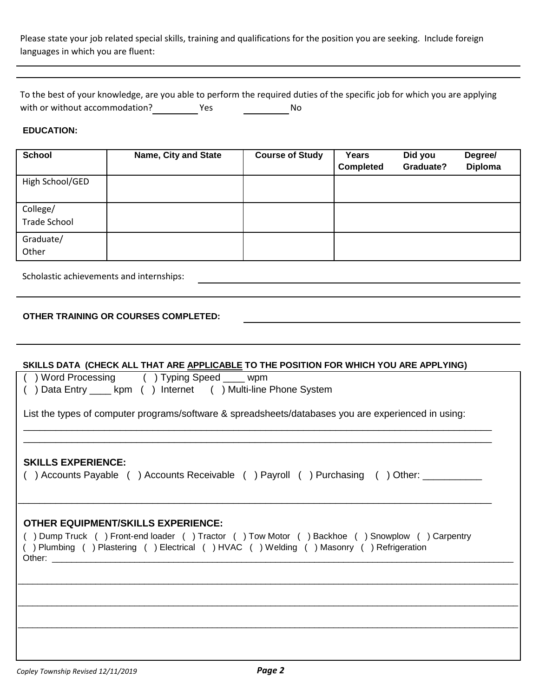Please state your job related special skills, training and qualifications for the position you are seeking. Include foreign languages in which you are fluent:

| To the best of your knowledge, are you able to perform the required duties of the specific job for which you are applying |     |    |  |
|---------------------------------------------------------------------------------------------------------------------------|-----|----|--|
| with or without accommodation?                                                                                            | Yes | No |  |

### **EDUCATION:**

| <b>School</b>                   | <b>Name, City and State</b> | <b>Course of Study</b> | Years<br><b>Completed</b> | Did you<br>Graduate? | Degree/<br><b>Diploma</b> |
|---------------------------------|-----------------------------|------------------------|---------------------------|----------------------|---------------------------|
| High School/GED                 |                             |                        |                           |                      |                           |
| College/<br><b>Trade School</b> |                             |                        |                           |                      |                           |
| Graduate/<br>Other              |                             |                        |                           |                      |                           |

Scholastic achievements and internships:

### **OTHER TRAINING OR COURSES COMPLETED:**

### **SKILLS DATA (CHECK ALL THAT ARE APPLICABLE TO THE POSITION FOR WHICH YOU ARE APPLYING)**

| () Word Processing () Typing Speed ____ wpm<br>() Data Entry _____ kpm () Internet () Multi-line Phone System<br>List the types of computer programs/software & spreadsheets/databases you are experienced in using:                                                                                                                                                                                                                                                   |
|------------------------------------------------------------------------------------------------------------------------------------------------------------------------------------------------------------------------------------------------------------------------------------------------------------------------------------------------------------------------------------------------------------------------------------------------------------------------|
|                                                                                                                                                                                                                                                                                                                                                                                                                                                                        |
| <b>SKILLS EXPERIENCE:</b><br>( ) Accounts Payable ( ) Accounts Receivable ( ) Payroll ( )Purchasing ( )Other: ___________                                                                                                                                                                                                                                                                                                                                              |
| <b>OTHER EQUIPMENT/SKILLS EXPERIENCE:</b><br>() Dump Truck () Front-end loader () Tractor () Tow Motor () Backhoe () Snowplow () Carpentry<br>() Plumbing () Plastering () Electrical () HVAC () Welding () Masonry () Refrigeration<br>Other: will be a series of the contract of the contract of the contract of the contract of the contract of the contract of the contract of the contract of the contract of the contract of the contract of the contract of the |
|                                                                                                                                                                                                                                                                                                                                                                                                                                                                        |
|                                                                                                                                                                                                                                                                                                                                                                                                                                                                        |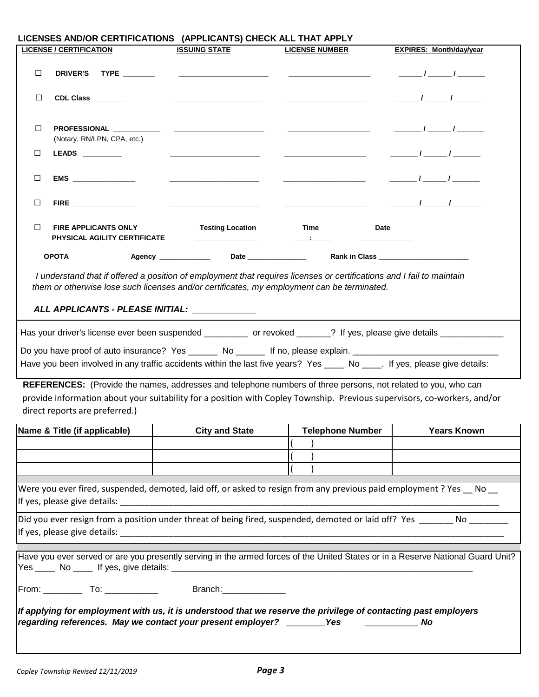| LICENSES AND/OR CERTIFICATIONS (APPLICANTS) CHECK ALL THAT APPLY                                                                                                                                                                                                     |                                                                                                                            |                                                           |                                |  |  |
|----------------------------------------------------------------------------------------------------------------------------------------------------------------------------------------------------------------------------------------------------------------------|----------------------------------------------------------------------------------------------------------------------------|-----------------------------------------------------------|--------------------------------|--|--|
| <b>LICENSE / CERTIFICATION</b>                                                                                                                                                                                                                                       | <b>ISSUING STATE</b>                                                                                                       | <b>LICENSE NUMBER</b>                                     | <b>EXPIRES: Month/day/year</b> |  |  |
| $\Box$<br>DRIVER'S TYPE ________                                                                                                                                                                                                                                     | <u> 1990 - Andrea Andrew Maria (h. 1980).</u><br>1901 - Andrew Maria (h. 1902).                                            |                                                           | $\frac{1}{\sqrt{2\pi}}$        |  |  |
| □<br>CDL Class _______                                                                                                                                                                                                                                               |                                                                                                                            |                                                           | $\frac{1}{\sqrt{2\pi}}$        |  |  |
| $\Box$<br>(Notary, RN/LPN, CPA, etc.)                                                                                                                                                                                                                                |                                                                                                                            |                                                           | $\frac{1}{\sqrt{2\pi}}$        |  |  |
| LEADS _________<br>⊔                                                                                                                                                                                                                                                 |                                                                                                                            |                                                           |                                |  |  |
| EMS ________________<br>□                                                                                                                                                                                                                                            | <u> 1980 - Andrea Albert III, poet e presentant e presentant e presentant e presentant e presentant e presentant e pre</u> | <u> 1989 - Johann Barnett, fransk politiker (d. 1989)</u> | $\frac{1}{\sqrt{2\pi}}$        |  |  |
| $\begin{tabular}{c} \bf{FIRE} \end{tabular}$<br>□                                                                                                                                                                                                                    |                                                                                                                            |                                                           |                                |  |  |
| □<br><b>FIRE APPLICANTS ONLY</b><br>PHYSICAL AGILITY CERTIFICATE                                                                                                                                                                                                     | <b>Testing Location</b>                                                                                                    | Time                                                      | Date                           |  |  |
| <b>OPOTA</b>                                                                                                                                                                                                                                                         | Agency ____________                                                                                                        |                                                           |                                |  |  |
| I understand that if offered a position of employment that requires licenses or certifications and I fail to maintain<br>them or otherwise lose such licenses and/or certificates, my employment can be terminated.<br>ALL APPLICANTS - PLEASE INITIAL: ____________ |                                                                                                                            |                                                           |                                |  |  |
| Has your driver's license ever been suspended _________ or revoked ______? If yes, please give details __________                                                                                                                                                    |                                                                                                                            |                                                           |                                |  |  |
| Do you have proof of auto insurance? Yes _______ No ______ If no, please explain. ____________________________                                                                                                                                                       |                                                                                                                            |                                                           |                                |  |  |
| Have you been involved in any traffic accidents within the last five years? Yes _____ No _____. If yes, please give details:                                                                                                                                         |                                                                                                                            |                                                           |                                |  |  |
|                                                                                                                                                                                                                                                                      |                                                                                                                            |                                                           |                                |  |  |
| REFERENCES: (Provide the names, addresses and telephone numbers of three persons, not related to you, who can                                                                                                                                                        |                                                                                                                            |                                                           |                                |  |  |
| provide information about your suitability for a position with Copley Township. Previous supervisors, co-workers, and/or                                                                                                                                             |                                                                                                                            |                                                           |                                |  |  |
| direct reports are preferred.)                                                                                                                                                                                                                                       |                                                                                                                            |                                                           |                                |  |  |
| Name & Title (if applicable)                                                                                                                                                                                                                                         | <b>City and State</b>                                                                                                      | Telephone Number                                          | <b>Years Known</b>             |  |  |
|                                                                                                                                                                                                                                                                      |                                                                                                                            |                                                           |                                |  |  |
|                                                                                                                                                                                                                                                                      |                                                                                                                            |                                                           |                                |  |  |
|                                                                                                                                                                                                                                                                      |                                                                                                                            |                                                           |                                |  |  |
| Were you ever fired, suspended, demoted, laid off, or asked to resign from any previous paid employment ? Yes __ No __                                                                                                                                               |                                                                                                                            |                                                           |                                |  |  |
| Did you ever resign from a position under threat of being fired, suspended, demoted or laid off? Yes _______ No ________                                                                                                                                             |                                                                                                                            |                                                           |                                |  |  |
| Have you ever served or are you presently serving in the armed forces of the United States or in a Reserve National Guard Unit?                                                                                                                                      |                                                                                                                            |                                                           |                                |  |  |
|                                                                                                                                                                                                                                                                      |                                                                                                                            |                                                           |                                |  |  |
| If applying for employment with us, it is understood that we reserve the privilege of contacting past employers<br>regarding references. May we contact your present employer? _______Yes _________<br><b>No</b>                                                     |                                                                                                                            |                                                           |                                |  |  |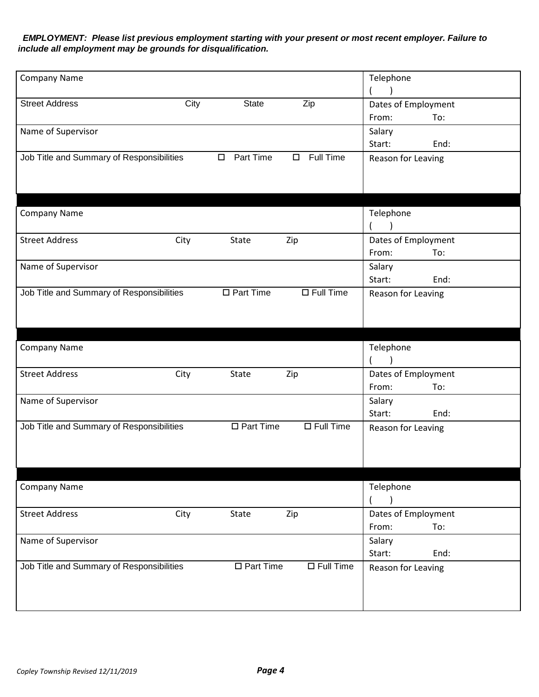*EMPLOYMENT: Please list previous employment starting with your present or most recent employer. Failure to include all employment may be grounds for disqualification.*

| <b>Company Name</b>                       |      |                     |                     | Telephone           |      |
|-------------------------------------------|------|---------------------|---------------------|---------------------|------|
| <b>Street Address</b>                     | City | <b>State</b>        | Zip                 | Dates of Employment |      |
|                                           |      |                     |                     | From:               | To:  |
| Name of Supervisor                        |      |                     |                     | Salary              |      |
|                                           |      |                     |                     | Start:              | End: |
| Job Title and Summary of Responsibilities |      | Part Time<br>$\Box$ | Full Time<br>$\Box$ | Reason for Leaving  |      |
|                                           |      |                     |                     |                     |      |
|                                           |      |                     |                     |                     |      |
|                                           |      |                     |                     |                     |      |
| <b>Company Name</b>                       |      |                     |                     | Telephone           |      |
|                                           |      |                     |                     |                     |      |
| <b>Street Address</b>                     | City | State               | Zip                 | Dates of Employment |      |
|                                           |      |                     |                     | From:               | To:  |
| Name of Supervisor                        |      |                     |                     | Salary              |      |
|                                           |      |                     |                     | Start:              | End: |
| Job Title and Summary of Responsibilities |      | $\Box$ Part Time    | $\Box$ Full Time    | Reason for Leaving  |      |
|                                           |      |                     |                     |                     |      |
|                                           |      |                     |                     |                     |      |
|                                           |      |                     |                     |                     |      |
| <b>Company Name</b>                       |      |                     |                     | Telephone           |      |
|                                           |      |                     |                     |                     |      |
| <b>Street Address</b>                     | City | State               | Zip                 | Dates of Employment |      |
|                                           |      |                     |                     | From:               | To:  |
| Name of Supervisor                        |      |                     |                     | Salary              |      |
|                                           |      |                     |                     | Start:              | End: |
| Job Title and Summary of Responsibilities |      | $\Box$ Part Time    | $\Box$ Full Time    | Reason for Leaving  |      |
|                                           |      |                     |                     |                     |      |
|                                           |      |                     |                     |                     |      |
|                                           |      |                     |                     |                     |      |
| <b>Company Name</b>                       |      |                     |                     | Telephone           |      |
|                                           |      |                     |                     |                     |      |
| <b>Street Address</b>                     | City | State               | Zip                 | Dates of Employment |      |
|                                           |      |                     |                     | From:               | To:  |
| Name of Supervisor                        |      |                     |                     | Salary              |      |
|                                           |      |                     |                     | Start:              | End: |
| Job Title and Summary of Responsibilities |      | $\Box$ Part Time    | $\Box$ Full Time    | Reason for Leaving  |      |
|                                           |      |                     |                     |                     |      |
|                                           |      |                     |                     |                     |      |
|                                           |      |                     |                     |                     |      |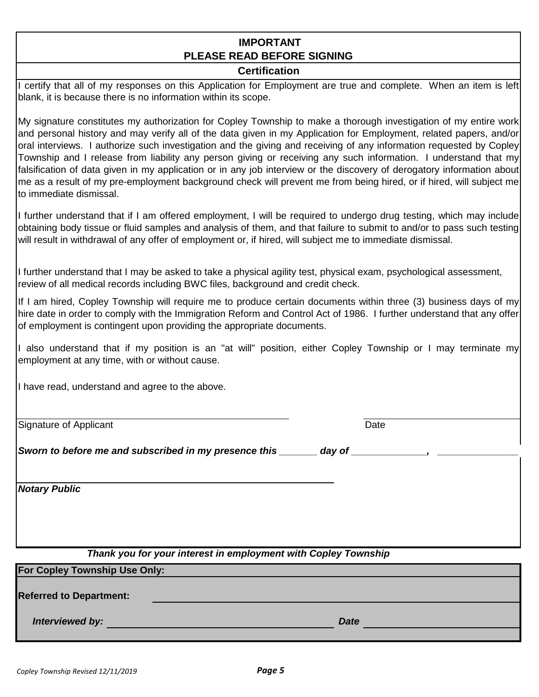# **IMPORTANT PLEASE READ BEFORE SIGNING**

# **Certification**

I certify that all of my responses on this Application for Employment are true and complete. When an item is left blank, it is because there is no information within its scope.

My signature constitutes my authorization for Copley Township to make a thorough investigation of my entire work and personal history and may verify all of the data given in my Application for Employment, related papers, and/or oral interviews. I authorize such investigation and the giving and receiving of any information requested by Copley Township and I release from liability any person giving or receiving any such information. I understand that my falsification of data given in my application or in any job interview or the discovery of derogatory information about me as a result of my pre-employment background check will prevent me from being hired, or if hired, will subject me to immediate dismissal.

I further understand that if I am offered employment, I will be required to undergo drug testing, which may include obtaining body tissue or fluid samples and analysis of them, and that failure to submit to and/or to pass such testing will result in withdrawal of any offer of employment or, if hired, will subject me to immediate dismissal.

I further understand that I may be asked to take a physical agility test, physical exam, psychological assessment, review of all medical records including BWC files, background and credit check.

If I am hired, Copley Township will require me to produce certain documents within three (3) business days of my hire date in order to comply with the Immigration Reform and Control Act of 1986. I further understand that any offer of employment is contingent upon providing the appropriate documents.

I also understand that if my position is an "at will" position, either Copley Township or I may terminate my employment at any time, with or without cause.

I have read, understand and agree to the above.

Signature of Applicant

**Date** 

*Sworn to before me and subscribed in my presence this \_\_\_\_\_\_\_\_\_ day of \_\_\_\_\_\_\_\_\_*,

*Notary Public*

*Thank you for your interest in employment with Copley Township*

**For Copley Township Use Only:**

**Referred to Department:**

*Interviewed by: Date*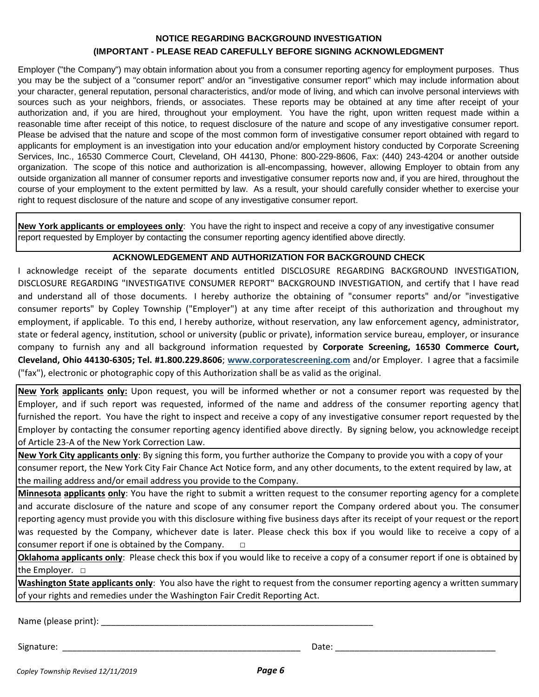# **NOTICE REGARDING BACKGROUND INVESTIGATION (IMPORTANT - PLEASE READ CAREFULLY BEFORE SIGNING ACKNOWLEDGMENT**

Employer ("the Company") may obtain information about you from a consumer reporting agency for employment purposes. Thus you may be the subject of a "consumer report" and/or an "investigative consumer report" which may include information about your character, general reputation, personal characteristics, and/or mode of living, and which can involve personal interviews with sources such as your neighbors, friends, or associates. These reports may be obtained at any time after receipt of your authorization and, if you are hired, throughout your employment. You have the right, upon written request made within a reasonable time after receipt of this notice, to request disclosure of the nature and scope of any investigative consumer report. Please be advised that the nature and scope of the most common form of investigative consumer report obtained with regard to applicants for employment is an investigation into your education and/or employment history conducted by Corporate Screening Services, Inc., 16530 Commerce Court, Cleveland, OH 44130, Phone: 800-229-8606, Fax: (440) 243-4204 or another outside organization. The scope of this notice and authorization is all-encompassing, however, allowing Employer to obtain from any outside organization all manner of consumer reports and investigative consumer reports now and, if you are hired, throughout the course of your employment to the extent permitted by law. As a result, your should carefully consider whether to exercise your right to request disclosure of the nature and scope of any investigative consumer report.

**New York applicants or employees only**: You have the right to inspect and receive a copy of any investigative consumer report requested by Employer by contacting the consumer reporting agency identified above directly.

# **ACKNOWLEDGEMENT AND AUTHORIZATION FOR BACKGROUND CHECK**

I acknowledge receipt of the separate documents entitled DISCLOSURE REGARDING BACKGROUND INVESTIGATION, DISCLOSURE REGARDING "INVESTIGATIVE CONSUMER REPORT" BACKGROUND INVESTIGATION, and certify that I have read and understand all of those documents. I hereby authorize the obtaining of "consumer reports" and/or "investigative consumer reports" by Copley Township ("Employer") at any time after receipt of this authorization and throughout my employment, if applicable. To this end, I hereby authorize, without reservation, any law enforcement agency, administrator, state or federal agency, institution, school or university (public or private), information service bureau, employer, or insurance company to furnish any and all background information requested by **Corporate Screening, 16530 Commerce Court, Cleveland, Ohio 44130-6305; Tel. #1.800.229.8606**; **www.corporatescreening.com** and/or Employer. I agree that a facsimile ("fax"), electronic or photographic copy of this Authorization shall be as valid as the original.

**New York applicants only:** Upon request, you will be informed whether or not a consumer report was requested by the Employer, and if such report was requested, informed of the name and address of the consumer reporting agency that furnished the report. You have the right to inspect and receive a copy of any investigative consumer report requested by the Employer by contacting the consumer reporting agency identified above directly. By signing below, you acknowledge receipt of Article 23-A of the New York Correction Law.

**New York City applicants only**: By signing this form, you further authorize the Company to provide you with a copy of your consumer report, the New York City Fair Chance Act Notice form, and any other documents, to the extent required by law, at the mailing address and/or email address you provide to the Company.

**Minnesota applicants only**: You have the right to submit a written request to the consumer reporting agency for a complete and accurate disclosure of the nature and scope of any consumer report the Company ordered about you. The consumer reporting agency must provide you with this disclosure withing five business days after its receipt of your request or the report was requested by the Company, whichever date is later. Please check this box if you would like to receive a copy of a consumer report if one is obtained by the Company.  $\Box$ 

**Oklahoma applicants only**: Please check this box if you would like to receive a copy of a consumer report if one is obtained by the Employer. □

**Washington State applicants only**: You also have the right to request from the consumer reporting agency a written summary of your rights and remedies under the Washington Fair Credit Reporting Act.

Name (please print): \_\_\_\_\_\_\_\_\_\_\_\_\_\_\_\_\_\_\_\_\_\_\_\_\_\_\_\_\_\_\_\_\_\_\_\_\_\_\_\_\_\_\_\_\_\_\_\_\_\_\_\_\_\_\_\_

Signature: \_\_\_\_\_\_\_\_\_\_\_\_\_\_\_\_\_\_\_\_\_\_\_\_\_\_\_\_\_\_\_\_\_\_\_\_\_\_\_\_\_\_\_\_\_\_\_\_\_ Date: \_\_\_\_\_\_\_\_\_\_\_\_\_\_\_\_\_\_\_\_\_\_\_\_\_\_\_\_\_\_\_\_\_